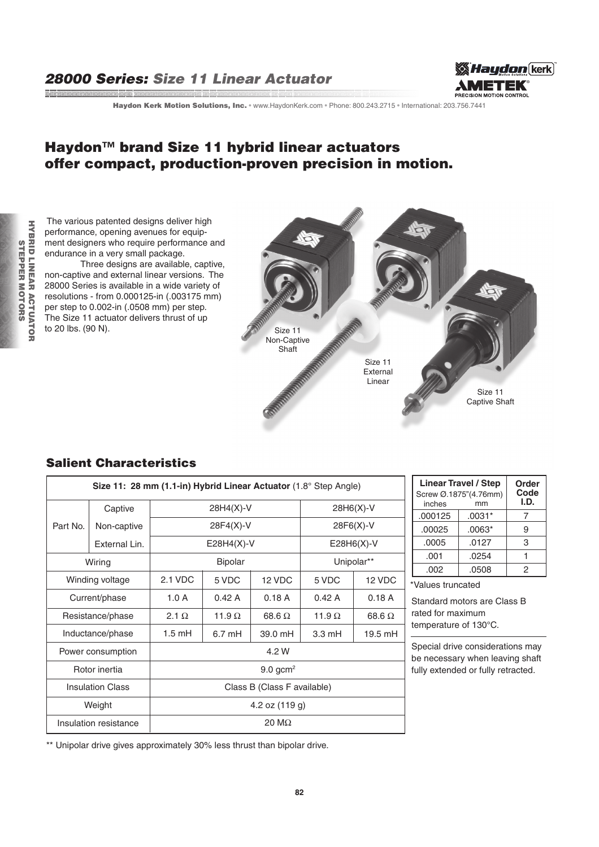# 28000 Series: Size 11 Linear Actuator

and a complete the complete the complete that the complete the complete the complete that the complete the complete the complete the complete the complete the complete the complete the complete the complete the complete th



Haydon Kerk Motion Solutions, Inc. · www.HaydonKerk.com · Phone: 800.243.2715 · International: 203.756.7441

# Haydon™ brand Size 11 hybrid linear actuators offer compact, production-proven precision in motion.

 The various patented designs deliver high performance, opening avenues for equipment designers who require performance and endurance in a very small package.

 Three designs are available, captive, non-captive and external linear versions. The 28000 Series is available in a wide variety of resolutions - from 0.000125-in (.003175 mm) per step to 0.002-in (.0508 mm) per step. The Size 11 actuator delivers thrust of up to 20 lbs. (90 N).



### Salient Characteristics

| Size 11: 28 mm (1.1-in) Hybrid Linear Actuator $(1.8^{\circ}$ Step Angle) |               |                             |                  |               |                  |               |  |  |
|---------------------------------------------------------------------------|---------------|-----------------------------|------------------|---------------|------------------|---------------|--|--|
|                                                                           | Captive       | $28H4(X)-V$                 |                  |               | $28H6(X)-V$      |               |  |  |
| Part No.                                                                  | Non-captive   | 28F4(X)-V                   |                  |               | $28F6(X)-V$      |               |  |  |
|                                                                           | External Lin. |                             | $E28H4(X)-V$     |               |                  | $E28H6(X)-V$  |  |  |
| Wiring                                                                    |               | <b>Bipolar</b>              |                  |               | Unipolar**       |               |  |  |
| Winding voltage                                                           |               | 2.1 VDC                     | 5 VDC            | 12 VDC        | 5 VDC            | 12 VDC        |  |  |
| Current/phase                                                             |               | 1.0A                        | 0.42A            | 0.18A         | 0.42A            | 0.18A         |  |  |
| Resistance/phase                                                          |               | 2.1 $\Omega$                | 11.9 $\Omega$    | 68.6 $\Omega$ | 11.9 $\Omega$    | 68.6 $\Omega$ |  |  |
| Inductance/phase                                                          |               | $1.5 \text{ mH}$            | $6.7 \text{ mH}$ | 39.0 mH       | $3.3 \text{ mH}$ | 19.5 mH       |  |  |
| Power consumption                                                         |               | 4.2 W                       |                  |               |                  |               |  |  |
| Rotor inertia                                                             |               | $9.0$ gcm <sup>2</sup>      |                  |               |                  |               |  |  |
| <b>Insulation Class</b>                                                   |               | Class B (Class F available) |                  |               |                  |               |  |  |
| Weight                                                                    |               | 4.2 oz $(119q)$             |                  |               |                  |               |  |  |
| Insulation resistance                                                     |               | $20 \text{ M}\Omega$        |                  |               |                  |               |  |  |

| <b>Linear Travel / Step</b><br>Screw Ø.1875"(4.76mm)<br>inches | Order<br>Code<br>I.D. |   |
|----------------------------------------------------------------|-----------------------|---|
| .000125                                                        | $.0031*$              |   |
| .00025                                                         | $.0063*$              | 9 |
| .0005                                                          | .0127                 | 3 |
| .001                                                           | .0254                 |   |
| .002                                                           | .0508                 | 2 |

\*Values truncated

Standard motors are Class B rated for maximum temperature of 130°C.

Special drive considerations may be necessary when leaving shaft fully extended or fully retracted.

\*\* Unipolar drive gives approximately 30% less thrust than bipolar drive.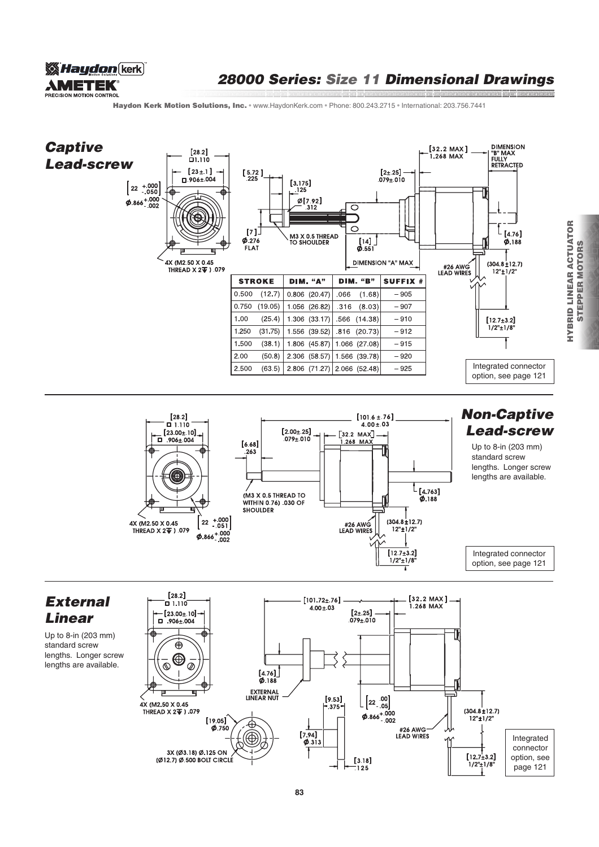

# 28000 Series: Size 11 Dimensional Drawings

and the communication of the communication of the communication of the communication of the communication of t<br>In the communication of the communication of the communication of the communication of the communication of th

Haydon Kerk Motion Solutions, Inc. · www.HaydonKerk.com · Phone: 800.243.2715 · International: 203.756.7441